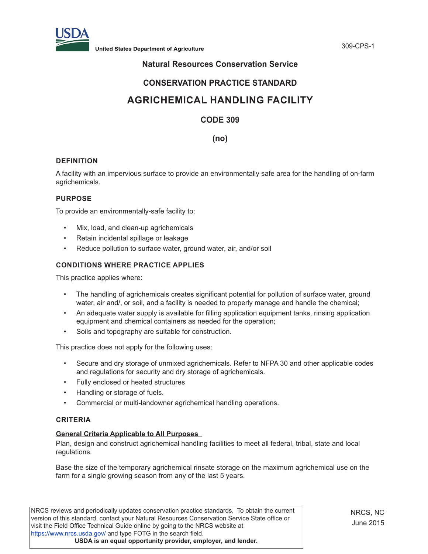

## **Natural Resources Conservation Service**

## **CONSERVATION PRACTICE STANDARD**

# **AGRICHEMICAL HANDLING FACILITY**

## **CODE 309**

**(no)**

## **DEFINITION**

A facility with an impervious surface to provide an environmentally safe area for the handling of on-farm agrichemicals.

## **PURPOSE**

To provide an environmentally-safe facility to:

- Mix, load, and clean-up agrichemicals
- Retain incidental spillage or leakage
- Reduce pollution to surface water, ground water, air, and/or soil

## **CONDITIONS WHERE PRACTICE APPLIES**

This practice applies where:

- The handling of agrichemicals creates significant potential for pollution of surface water, ground water, air and/, or soil, and a facility is needed to properly manage and handle the chemical;
- An adequate water supply is available for filling application equipment tanks, rinsing application equipment and chemical containers as needed for the operation;
- Soils and topography are suitable for construction.

This practice does not apply for the following uses:

- Secure and dry storage of unmixed agrichemicals. Refer to NFPA 30 and other applicable codes and regulations for security and dry storage of agrichemicals.
- Fully enclosed or heated structures
- Handling or storage of fuels.
- Commercial or multi-landowner agrichemical handling operations.

## **CRITERIA**

## **General Criteria Applicable to All Purposes**

Plan, design and construct agrichemical handling facilities to meet all federal, tribal, state and local regulations.

Base the size of the temporary agrichemical rinsate storage on the maximum agrichemical use on the farm for a single growing season from any of the last 5 years.

NRCS reviews and periodically updates conservation practice standards. To obtain the current version of this standard, contact your Natural Resources Conservation Service State office or visit the Field Office Technical Guide online by going to the NRCS website at https://www.nrcs.usda.gov/ and type FOTG in the search field. **USDA is an equal opportunity provider, employer, and lender.**

NRCS, NC June 2015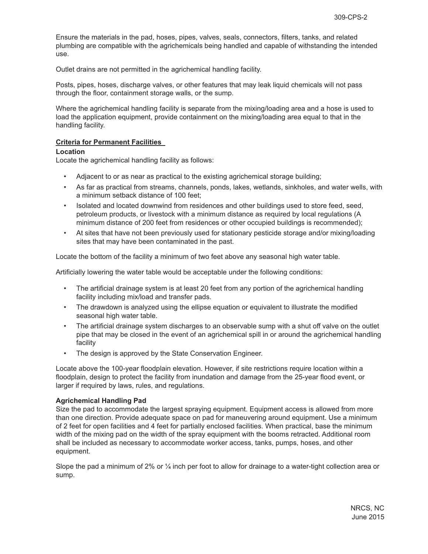Ensure the materials in the pad, hoses, pipes, valves, seals, connectors, filters, tanks, and related plumbing are compatible with the agrichemicals being handled and capable of withstanding the intended use.

Outlet drains are not permitted in the agrichemical handling facility.

Posts, pipes, hoses, discharge valves, or other features that may leak liquid chemicals will not pass through the floor, containment storage walls, or the sump.

Where the agrichemical handling facility is separate from the mixing/loading area and a hose is used to load the application equipment, provide containment on the mixing/loading area equal to that in the handling facility.

## **Criteria for Permanent Facilities**

#### **Location**

Locate the agrichemical handling facility as follows:

- Adjacent to or as near as practical to the existing agrichemical storage building;
- As far as practical from streams, channels, ponds, lakes, wetlands, sinkholes, and water wells, with a minimum setback distance of 100 feet;
- Isolated and located downwind from residences and other buildings used to store feed, seed, petroleum products, or livestock with a minimum distance as required by local regulations (A minimum distance of 200 feet from residences or other occupied buildings is recommended);
- At sites that have not been previously used for stationary pesticide storage and/or mixing/loading sites that may have been contaminated in the past.

Locate the bottom of the facility a minimum of two feet above any seasonal high water table.

Artificially lowering the water table would be acceptable under the following conditions:

- The artificial drainage system is at least 20 feet from any portion of the agrichemical handling facility including mix/load and transfer pads.
- The drawdown is analyzed using the ellipse equation or equivalent to illustrate the modified seasonal high water table.
- The artificial drainage system discharges to an observable sump with a shut off valve on the outlet pipe that may be closed in the event of an agrichemical spill in or around the agrichemical handling facility
- The design is approved by the State Conservation Engineer.

Locate above the 100-year floodplain elevation. However, if site restrictions require location within a floodplain, design to protect the facility from inundation and damage from the 25-year flood event, or larger if required by laws, rules, and regulations.

## **Agrichemical Handling Pad**

Size the pad to accommodate the largest spraying equipment. Equipment access is allowed from more than one direction. Provide adequate space on pad for maneuvering around equipment. Use a minimum of 2 feet for open facilities and 4 feet for partially enclosed facilities. When practical, base the minimum width of the mixing pad on the width of the spray equipment with the booms retracted. Additional room shall be included as necessary to accommodate worker access, tanks, pumps, hoses, and other equipment.

Slope the pad a minimum of 2% or ¼ inch per foot to allow for drainage to a water-tight collection area or sump.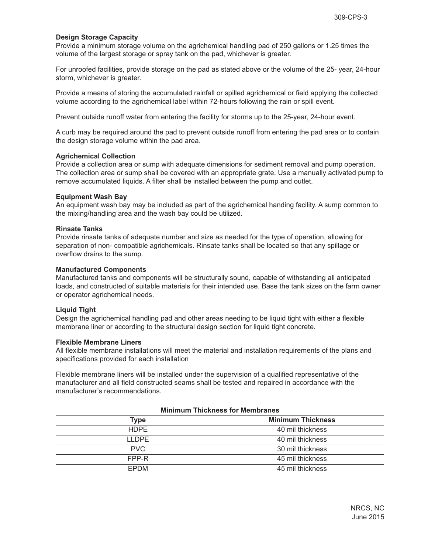## **Design Storage Capacity**

Provide a minimum storage volume on the agrichemical handling pad of 250 gallons or 1.25 times the volume of the largest storage or spray tank on the pad, whichever is greater.

For unroofed facilities, provide storage on the pad as stated above or the volume of the 25- year, 24-hour storm, whichever is greater.

Provide a means of storing the accumulated rainfall or spilled agrichemical or field applying the collected volume according to the agrichemical label within 72-hours following the rain or spill event.

Prevent outside runoff water from entering the facility for storms up to the 25-year, 24-hour event.

A curb may be required around the pad to prevent outside runoff from entering the pad area or to contain the design storage volume within the pad area.

## **Agrichemical Collection**

Provide a collection area or sump with adequate dimensions for sediment removal and pump operation. The collection area or sump shall be covered with an appropriate grate. Use a manually activated pump to remove accumulated liquids. A filter shall be installed between the pump and outlet.

#### **Equipment Wash Bay**

An equipment wash bay may be included as part of the agrichemical handing facility. A sump common to the mixing/handling area and the wash bay could be utilized.

#### **Rinsate Tanks**

Provide rinsate tanks of adequate number and size as needed for the type of operation, allowing for separation of non- compatible agrichemicals. Rinsate tanks shall be located so that any spillage or overflow drains to the sump.

#### **Manufactured Components**

Manufactured tanks and components will be structurally sound, capable of withstanding all anticipated loads, and constructed of suitable materials for their intended use. Base the tank sizes on the farm owner or operator agrichemical needs.

## **Liquid Tight**

Design the agrichemical handling pad and other areas needing to be liquid tight with either a flexible membrane liner or according to the structural design section for liquid tight concrete*.* 

#### **Flexible Membrane Liners**

All flexible membrane installations will meet the material and installation requirements of the plans and specifications provided for each installation

Flexible membrane liners will be installed under the supervision of a qualified representative of the manufacturer and all field constructed seams shall be tested and repaired in accordance with the manufacturer's recommendations.

| <b>Minimum Thickness for Membranes</b> |                          |
|----------------------------------------|--------------------------|
| <b>Type</b>                            | <b>Minimum Thickness</b> |
| <b>HDPE</b>                            | 40 mil thickness         |
| <b>LLDPE</b>                           | 40 mil thickness         |
| PVC                                    | 30 mil thickness         |
| FPP-R                                  | 45 mil thickness         |
| <b>EPDM</b>                            | 45 mil thickness         |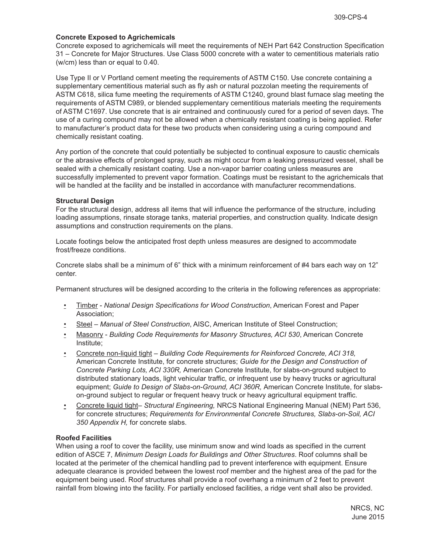## **Concrete Exposed to Agrichemicals**

Concrete exposed to agrichemicals will meet the requirements of NEH Part 642 Construction Specification 31 – Concrete for Major Structures. Use Class 5000 concrete with a water to cementitious materials ratio (w/cm) less than or equal to 0.40.

Use Type II or V Portland cement meeting the requirements of ASTM C150. Use concrete containing a supplementary cementitious material such as fly ash or natural pozzolan meeting the requirements of ASTM C618, silica fume meeting the requirements of ASTM C1240, ground blast furnace slag meeting the requirements of ASTM C989, or blended supplementary cementitious materials meeting the requirements of ASTM C1697. Use concrete that is air entrained and continuously cured for a period of seven days. The use of a curing compound may not be allowed when a chemically resistant coating is being applied. Refer to manufacturer's product data for these two products when considering using a curing compound and chemically resistant coating.

Any portion of the concrete that could potentially be subjected to continual exposure to caustic chemicals or the abrasive effects of prolonged spray, such as might occur from a leaking pressurized vessel, shall be sealed with a chemically resistant coating. Use a non-vapor barrier coating unless measures are successfully implemented to prevent vapor formation. Coatings must be resistant to the agrichemicals that will be handled at the facility and be installed in accordance with manufacturer recommendations.

## **Structural Design**

For the structural design, address all items that will influence the performance of the structure, including loading assumptions, rinsate storage tanks, material properties, and construction quality. Indicate design assumptions and construction requirements on the plans.

Locate footings below the anticipated frost depth unless measures are designed to accommodate frost/freeze conditions.

Concrete slabs shall be a minimum of 6" thick with a minimum reinforcement of #4 bars each way on 12" center.

Permanent structures will be designed according to the criteria in the following references as appropriate:

- Timber *National Design Specifications for Wood Construction*, American Forest and Paper Association;
- Steel *Manual of Steel Construction*, AISC, American Institute of Steel Construction;
- Masonry *Building Code Requirements for Masonry Structures, ACI 530*, American Concrete Institute;
- Concrete non-liquid tight *Building Code Requirements for Reinforced Concrete, ACI 318,* American Concrete Institute, for concrete structures; *Guide for the Design and Construction of Concrete Parking Lots, ACI 330R,* American Concrete Institute, for slabs-on-ground subject to distributed stationary loads, light vehicular traffic, or infrequent use by heavy trucks or agricultural equipment; *Guide to Design of Slabs-on-Ground, ACI 360R,* American Concrete Institute, for slabson-ground subject to regular or frequent heavy truck or heavy agricultural equipment traffic*.*
- Concrete liquid tight– *Structural Engineering,* NRCS National Engineering Manual (NEM) Part 536, for concrete structures; *Requirements for Environmental Concrete Structures, Slabs-on-Soil, ACI 350 Appendix H,* for concrete slabs.

## **Roofed Facilities**

When using a roof to cover the facility, use minimum snow and wind loads as specified in the current edition of ASCE 7, *Minimum Design Loads for Buildings and Other Structures*. Roof columns shall be located at the perimeter of the chemical handling pad to prevent interference with equipment. Ensure adequate clearance is provided between the lowest roof member and the highest area of the pad for the equipment being used. Roof structures shall provide a roof overhang a minimum of 2 feet to prevent rainfall from blowing into the facility. For partially enclosed facilities, a ridge vent shall also be provided.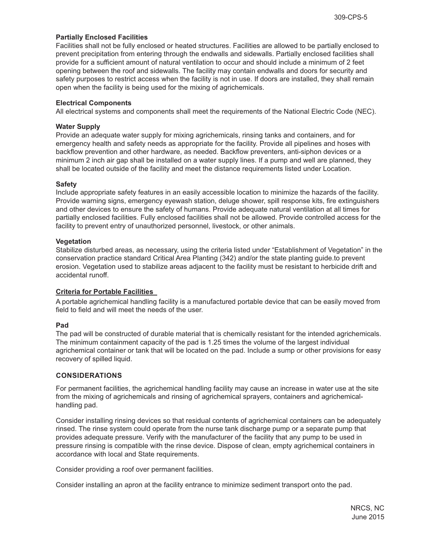## **Partially Enclosed Facilities**

Facilities shall not be fully enclosed or heated structures. Facilities are allowed to be partially enclosed to prevent precipitation from entering through the endwalls and sidewalls. Partially enclosed facilities shall provide for a sufficient amount of natural ventilation to occur and should include a minimum of 2 feet opening between the roof and sidewalls. The facility may contain endwalls and doors for security and safety purposes to restrict access when the facility is not in use. If doors are installed, they shall remain open when the facility is being used for the mixing of agrichemicals.

## **Electrical Components**

All electrical systems and components shall meet the requirements of the National Electric Code (NEC).

## **Water Supply**

Provide an adequate water supply for mixing agrichemicals, rinsing tanks and containers, and for emergency health and safety needs as appropriate for the facility. Provide all pipelines and hoses with backflow prevention and other hardware, as needed. Backflow preventers, anti-siphon devices or a minimum 2 inch air gap shall be installed on a water supply lines. If a pump and well are planned, they shall be located outside of the facility and meet the distance requirements listed under Location.

## **Safety**

Include appropriate safety features in an easily accessible location to minimize the hazards of the facility. Provide warning signs, emergency eyewash station, deluge shower, spill response kits, fire extinguishers and other devices to ensure the safety of humans. Provide adequate natural ventilation at all times for partially enclosed facilities. Fully enclosed facilities shall not be allowed. Provide controlled access for the facility to prevent entry of unauthorized personnel, livestock, or other animals.

## **Vegetation**

Stabilize disturbed areas, as necessary, using the criteria listed under "Establishment of Vegetation" in the conservation practice standard Critical Area Planting (342) and/or the state planting guide.to prevent erosion. Vegetation used to stabilize areas adjacent to the facility must be resistant to herbicide drift and accidental runoff.

## **Criteria for Portable Facilities**

A portable agrichemical handling facility is a manufactured portable device that can be easily moved from field to field and will meet the needs of the user.

## **Pad**

The pad will be constructed of durable material that is chemically resistant for the intended agrichemicals. The minimum containment capacity of the pad is 1.25 times the volume of the largest individual agrichemical container or tank that will be located on the pad. Include a sump or other provisions for easy recovery of spilled liquid.

## **CONSIDERATIONS**

For permanent facilities, the agrichemical handling facility may cause an increase in water use at the site from the mixing of agrichemicals and rinsing of agrichemical sprayers, containers and agrichemicalhandling pad.

Consider installing rinsing devices so that residual contents of agrichemical containers can be adequately rinsed. The rinse system could operate from the nurse tank discharge pump or a separate pump that provides adequate pressure. Verify with the manufacturer of the facility that any pump to be used in pressure rinsing is compatible with the rinse device. Dispose of clean, empty agrichemical containers in accordance with local and State requirements.

Consider providing a roof over permanent facilities.

Consider installing an apron at the facility entrance to minimize sediment transport onto the pad.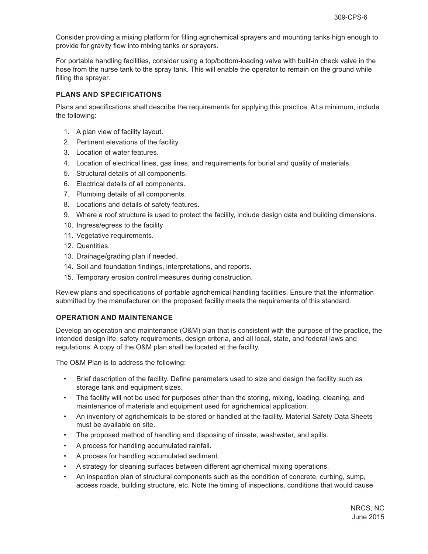Consider providing a mixing platform for filling agrichemical sprayers and mounting tanks high enough to provide for gravity flow into mixing tanks or sprayers.

For portable handling facilities, consider using a top/bottom-loading valve with built-in check valve in the hose from the nurse tank to the spray tank. This will enable the operator to remain on the ground while filling the sprayer.

## **PLANS AND SPECIFICATIONS**

Plans and specifications shall describe the requirements for applying this practice. At a minimum, include the following:

- 1. A plan view of facility layout.
- 2. Pertinent elevations of the facility.
- 3. Location of water features.
- 4. Location of electrical lines, gas lines, and requirements for burial and quality of materials.
- 5. Structural details of all components.
- 6. Electrical details of all components.
- 7. Plumbing details of all components.
- 8. Locations and details of safety features.
- 9. Where a roof structure is used to protect the facility, include design data and building dimensions.
- 10. Ingress/egress to the facility
- 11. Vegetative requirements.
- 12. Quantities.
- 13. Drainage/grading plan if needed.
- 14. Soil and foundation findings, interpretations, and reports.
- 15. Temporary erosion control measures during construction.

Review plans and specifications of portable agrichemical handling facilities. Ensure that the information submitted by the manufacturer on the proposed facility meets the requirements of this standard.

## **OPERATION AND MAINTENANCE**

Develop an operation and maintenance (O&M) plan that is consistent with the purpose of the practice, the intended design life, safety requirements, design criteria, and all local, state, and federal laws and regulations. A copy of the O&M plan shall be located at the facility.

The O&M Plan is to address the following:

- Brief description of the facility. Define parameters used to size and design the facility such as storage tank and equipment sizes.
- The facility will not be used for purposes other than the storing, mixing, loading, cleaning, and maintenance of materials and equipment used for agrichemical application.
- An inventory of agrichemicals to be stored or handled at the facility. Material Safety Data Sheets must be available on site.
- The proposed method of handling and disposing of rinsate, washwater, and spills.
- A process for handling accumulated rainfall.
- A process for handling accumulated sediment.
- A strategy for cleaning surfaces between different agrichemical mixing operations.
- An inspection plan of structural components such as the condition of concrete, curbing, sump, access roads, building structure, etc. Note the timing of inspections, conditions that would cause